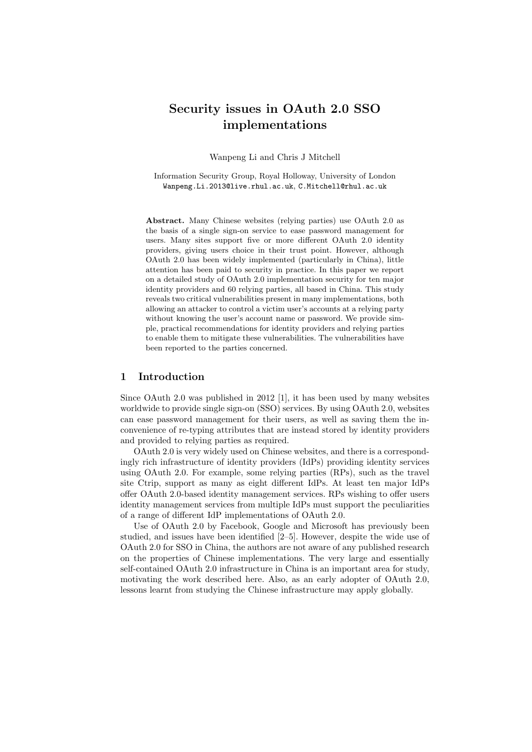# Security issues in OAuth 2.0 SSO implementations

Wanpeng Li and Chris J Mitchell

Information Security Group, Royal Holloway, University of London Wanpeng.Li.2013@live.rhul.ac.uk, C.Mitchell@rhul.ac.uk

Abstract. Many Chinese websites (relying parties) use OAuth 2.0 as the basis of a single sign-on service to ease password management for users. Many sites support five or more different OAuth 2.0 identity providers, giving users choice in their trust point. However, although OAuth 2.0 has been widely implemented (particularly in China), little attention has been paid to security in practice. In this paper we report on a detailed study of OAuth 2.0 implementation security for ten major identity providers and 60 relying parties, all based in China. This study reveals two critical vulnerabilities present in many implementations, both allowing an attacker to control a victim user's accounts at a relying party without knowing the user's account name or password. We provide simple, practical recommendations for identity providers and relying parties to enable them to mitigate these vulnerabilities. The vulnerabilities have been reported to the parties concerned.

# 1 Introduction

Since OAuth 2.0 was published in 2012 [1], it has been used by many websites worldwide to provide single sign-on (SSO) services. By using OAuth 2.0, websites can ease password management for their users, as well as saving them the inconvenience of re-typing attributes that are instead stored by identity providers and provided to relying parties as required.

OAuth 2.0 is very widely used on Chinese websites, and there is a correspondingly rich infrastructure of identity providers (IdPs) providing identity services using OAuth 2.0. For example, some relying parties (RPs), such as the travel site Ctrip, support as many as eight different IdPs. At least ten major IdPs offer OAuth 2.0-based identity management services. RPs wishing to offer users identity management services from multiple IdPs must support the peculiarities of a range of different IdP implementations of OAuth 2.0.

Use of OAuth 2.0 by Facebook, Google and Microsoft has previously been studied, and issues have been identified [2–5]. However, despite the wide use of OAuth 2.0 for SSO in China, the authors are not aware of any published research on the properties of Chinese implementations. The very large and essentially self-contained OAuth 2.0 infrastructure in China is an important area for study, motivating the work described here. Also, as an early adopter of OAuth 2.0, lessons learnt from studying the Chinese infrastructure may apply globally.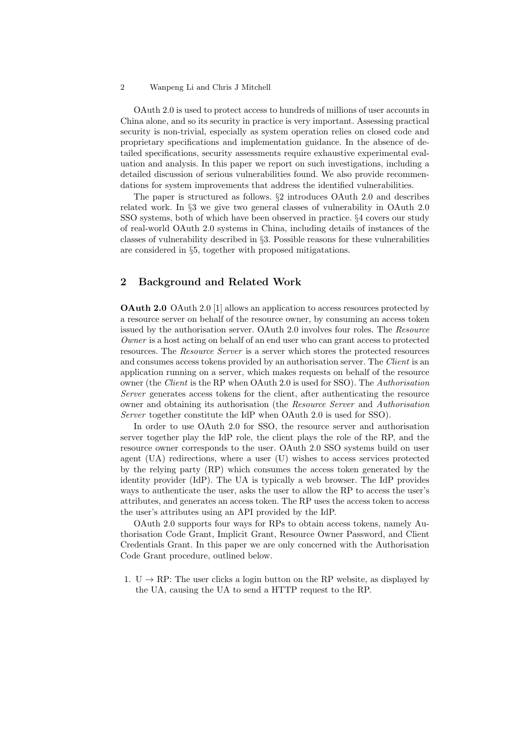OAuth 2.0 is used to protect access to hundreds of millions of user accounts in China alone, and so its security in practice is very important. Assessing practical security is non-trivial, especially as system operation relies on closed code and proprietary specifications and implementation guidance. In the absence of detailed specifications, security assessments require exhaustive experimental evaluation and analysis. In this paper we report on such investigations, including a detailed discussion of serious vulnerabilities found. We also provide recommendations for system improvements that address the identified vulnerabilities.

The paper is structured as follows. §2 introduces OAuth 2.0 and describes related work. In §3 we give two general classes of vulnerability in OAuth 2.0 SSO systems, both of which have been observed in practice. §4 covers our study of real-world OAuth 2.0 systems in China, including details of instances of the classes of vulnerability described in §3. Possible reasons for these vulnerabilities are considered in §5, together with proposed mitigatations.

# 2 Background and Related Work

OAuth 2.0 OAuth 2.0 [1] allows an application to access resources protected by a resource server on behalf of the resource owner, by consuming an access token issued by the authorisation server. OAuth 2.0 involves four roles. The Resource Owner is a host acting on behalf of an end user who can grant access to protected resources. The Resource Server is a server which stores the protected resources and consumes access tokens provided by an authorisation server. The Client is an application running on a server, which makes requests on behalf of the resource owner (the Client is the RP when OAuth 2.0 is used for SSO). The Authorisation Server generates access tokens for the client, after authenticating the resource owner and obtaining its authorisation (the Resource Server and Authorisation Server together constitute the IdP when OAuth 2.0 is used for SSO).

In order to use OAuth 2.0 for SSO, the resource server and authorisation server together play the IdP role, the client plays the role of the RP, and the resource owner corresponds to the user. OAuth 2.0 SSO systems build on user agent (UA) redirections, where a user (U) wishes to access services protected by the relying party (RP) which consumes the access token generated by the identity provider (IdP). The UA is typically a web browser. The IdP provides ways to authenticate the user, asks the user to allow the RP to access the user's attributes, and generates an access token. The RP uses the access token to access the user's attributes using an API provided by the IdP.

OAuth 2.0 supports four ways for RPs to obtain access tokens, namely Authorisation Code Grant, Implicit Grant, Resource Owner Password, and Client Credentials Grant. In this paper we are only concerned with the Authorisation Code Grant procedure, outlined below.

1. U  $\rightarrow$  RP: The user clicks a login button on the RP website, as displayed by the UA, causing the UA to send a HTTP request to the RP.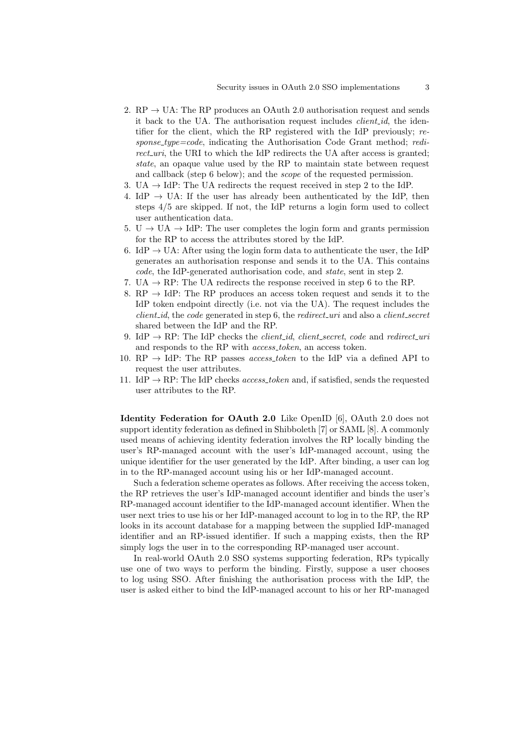- 2.  $RP \rightarrow UA$ : The RP produces an OAuth 2.0 authorisation request and sends it back to the UA. The authorisation request includes *client id*, the identifier for the client, which the RP registered with the IdP previously; re $sparse_type = code$ , indicating the Authorisation Code Grant method; redirect uri, the URI to which the IdP redirects the UA after access is granted; state, an opaque value used by the RP to maintain state between request and callback (step 6 below); and the scope of the requested permission.
- 3. UA  $\rightarrow$  IdP: The UA redirects the request received in step 2 to the IdP.
- 4. IdP  $\rightarrow$  UA: If the user has already been authenticated by the IdP, then steps 4/5 are skipped. If not, the IdP returns a login form used to collect user authentication data.
- 5. U  $\rightarrow$  UA  $\rightarrow$  IdP: The user completes the login form and grants permission for the RP to access the attributes stored by the IdP.
- 6. IdP  $\rightarrow$  UA: After using the login form data to authenticate the user, the IdP generates an authorisation response and sends it to the UA. This contains code, the IdP-generated authorisation code, and state, sent in step 2.
- 7. UA  $\rightarrow$  RP: The UA redirects the response received in step 6 to the RP.
- 8.  $RP \rightarrow IdP$ : The RP produces an access token request and sends it to the IdP token endpoint directly (i.e. not via the UA). The request includes the *client id*, the *code* generated in step 6, the *redirect uri* and also a *client secret* shared between the IdP and the RP.
- 9. IdP  $\rightarrow$  RP: The IdP checks the *client\_id, client\_secret, code* and *redirect\_uri* and responds to the RP with access token, an access token.
- 10. RP  $\rightarrow$  IdP: The RP passes *access token* to the IdP via a defined API to request the user attributes.
- 11. IdP  $\rightarrow$  RP: The IdP checks *access\_token* and, if satisfied, sends the requested user attributes to the RP.

Identity Federation for OAuth 2.0 Like OpenID [6], OAuth 2.0 does not support identity federation as defined in Shibboleth [7] or SAML [8]. A commonly used means of achieving identity federation involves the RP locally binding the user's RP-managed account with the user's IdP-managed account, using the unique identifier for the user generated by the IdP. After binding, a user can log in to the RP-managed account using his or her IdP-managed account.

Such a federation scheme operates as follows. After receiving the access token, the RP retrieves the user's IdP-managed account identifier and binds the user's RP-managed account identifier to the IdP-managed account identifier. When the user next tries to use his or her IdP-managed account to log in to the RP, the RP looks in its account database for a mapping between the supplied IdP-managed identifier and an RP-issued identifier. If such a mapping exists, then the RP simply logs the user in to the corresponding RP-managed user account.

In real-world OAuth 2.0 SSO systems supporting federation, RPs typically use one of two ways to perform the binding. Firstly, suppose a user chooses to log using SSO. After finishing the authorisation process with the IdP, the user is asked either to bind the IdP-managed account to his or her RP-managed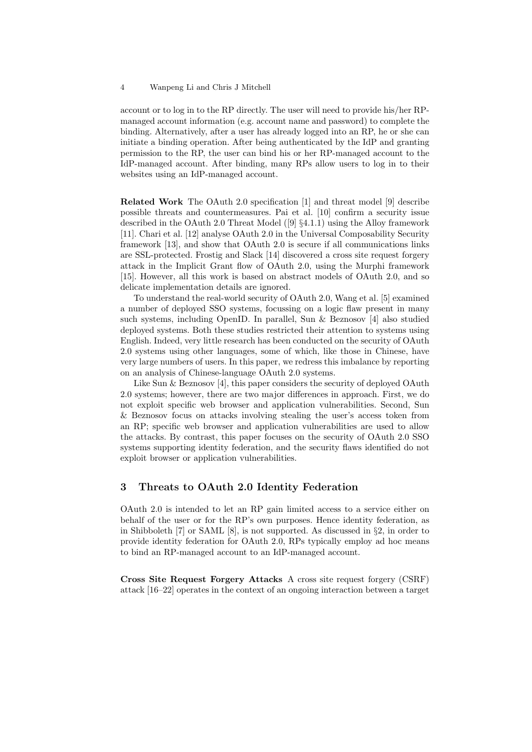account or to log in to the RP directly. The user will need to provide his/her RPmanaged account information (e.g. account name and password) to complete the binding. Alternatively, after a user has already logged into an RP, he or she can initiate a binding operation. After being authenticated by the IdP and granting permission to the RP, the user can bind his or her RP-managed account to the IdP-managed account. After binding, many RPs allow users to log in to their websites using an IdP-managed account.

Related Work The OAuth 2.0 specification [1] and threat model [9] describe possible threats and countermeasures. Pai et al. [10] confirm a security issue described in the OAuth 2.0 Threat Model ([9] §4.1.1) using the Alloy framework [11]. Chari et al. [12] analyse OAuth 2.0 in the Universal Composability Security framework [13], and show that OAuth 2.0 is secure if all communications links are SSL-protected. Frostig and Slack [14] discovered a cross site request forgery attack in the Implicit Grant flow of OAuth 2.0, using the Murphi framework [15]. However, all this work is based on abstract models of OAuth 2.0, and so delicate implementation details are ignored.

To understand the real-world security of OAuth 2.0, Wang et al. [5] examined a number of deployed SSO systems, focussing on a logic flaw present in many such systems, including OpenID. In parallel, Sun & Beznosov [4] also studied deployed systems. Both these studies restricted their attention to systems using English. Indeed, very little research has been conducted on the security of OAuth 2.0 systems using other languages, some of which, like those in Chinese, have very large numbers of users. In this paper, we redress this imbalance by reporting on an analysis of Chinese-language OAuth 2.0 systems.

Like Sun & Beznosov [4], this paper considers the security of deployed OAuth 2.0 systems; however, there are two major differences in approach. First, we do not exploit specific web browser and application vulnerabilities. Second, Sun & Beznosov focus on attacks involving stealing the user's access token from an RP; specific web browser and application vulnerabilities are used to allow the attacks. By contrast, this paper focuses on the security of OAuth 2.0 SSO systems supporting identity federation, and the security flaws identified do not exploit browser or application vulnerabilities.

# 3 Threats to OAuth 2.0 Identity Federation

OAuth 2.0 is intended to let an RP gain limited access to a service either on behalf of the user or for the RP's own purposes. Hence identity federation, as in Shibboleth [7] or SAML [8], is not supported. As discussed in §2, in order to provide identity federation for OAuth 2.0, RPs typically employ ad hoc means to bind an RP-managed account to an IdP-managed account.

Cross Site Request Forgery Attacks A cross site request forgery (CSRF) attack [16–22] operates in the context of an ongoing interaction between a target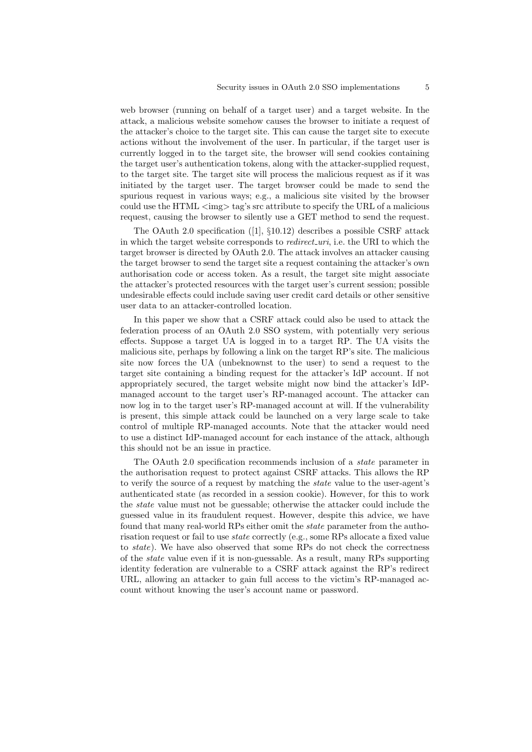web browser (running on behalf of a target user) and a target website. In the attack, a malicious website somehow causes the browser to initiate a request of the attacker's choice to the target site. This can cause the target site to execute actions without the involvement of the user. In particular, if the target user is currently logged in to the target site, the browser will send cookies containing the target user's authentication tokens, along with the attacker-supplied request, to the target site. The target site will process the malicious request as if it was initiated by the target user. The target browser could be made to send the spurious request in various ways; e.g., a malicious site visited by the browser could use the HTML  $\langle_1 \rangle$  tags is src attribute to specify the URL of a malicious request, causing the browser to silently use a GET method to send the request.

The OAuth 2.0 specification ([1], §10.12) describes a possible CSRF attack in which the target website corresponds to *redirect\_uri*, i.e. the URI to which the target browser is directed by OAuth 2.0. The attack involves an attacker causing the target browser to send the target site a request containing the attacker's own authorisation code or access token. As a result, the target site might associate the attacker's protected resources with the target user's current session; possible undesirable effects could include saving user credit card details or other sensitive user data to an attacker-controlled location.

In this paper we show that a CSRF attack could also be used to attack the federation process of an OAuth 2.0 SSO system, with potentially very serious effects. Suppose a target UA is logged in to a target RP. The UA visits the malicious site, perhaps by following a link on the target RP's site. The malicious site now forces the UA (unbeknownst to the user) to send a request to the target site containing a binding request for the attacker's IdP account. If not appropriately secured, the target website might now bind the attacker's IdPmanaged account to the target user's RP-managed account. The attacker can now log in to the target user's RP-managed account at will. If the vulnerability is present, this simple attack could be launched on a very large scale to take control of multiple RP-managed accounts. Note that the attacker would need to use a distinct IdP-managed account for each instance of the attack, although this should not be an issue in practice.

The OAuth 2.0 specification recommends inclusion of a state parameter in the authorisation request to protect against CSRF attacks. This allows the RP to verify the source of a request by matching the state value to the user-agent's authenticated state (as recorded in a session cookie). However, for this to work the state value must not be guessable; otherwise the attacker could include the guessed value in its fraudulent request. However, despite this advice, we have found that many real-world RPs either omit the state parameter from the authorisation request or fail to use state correctly (e.g., some RPs allocate a fixed value to state). We have also observed that some RPs do not check the correctness of the state value even if it is non-guessable. As a result, many RPs supporting identity federation are vulnerable to a CSRF attack against the RP's redirect URL, allowing an attacker to gain full access to the victim's RP-managed account without knowing the user's account name or password.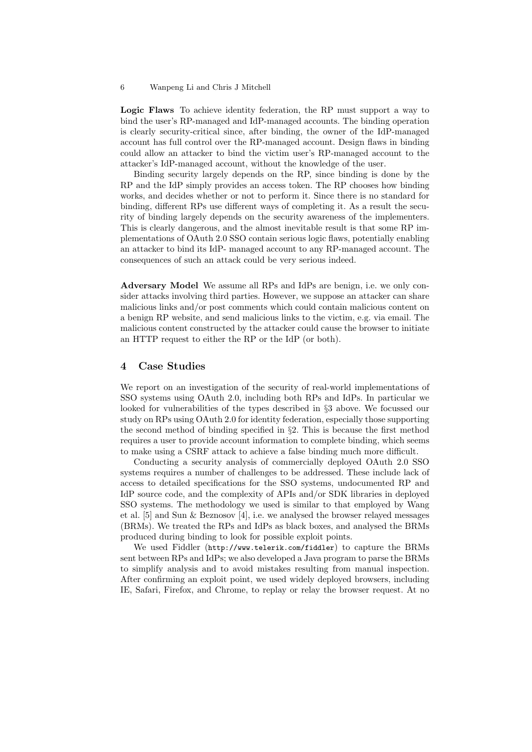Logic Flaws To achieve identity federation, the RP must support a way to bind the user's RP-managed and IdP-managed accounts. The binding operation is clearly security-critical since, after binding, the owner of the IdP-managed account has full control over the RP-managed account. Design flaws in binding could allow an attacker to bind the victim user's RP-managed account to the attacker's IdP-managed account, without the knowledge of the user.

Binding security largely depends on the RP, since binding is done by the RP and the IdP simply provides an access token. The RP chooses how binding works, and decides whether or not to perform it. Since there is no standard for binding, different RPs use different ways of completing it. As a result the security of binding largely depends on the security awareness of the implementers. This is clearly dangerous, and the almost inevitable result is that some RP implementations of OAuth 2.0 SSO contain serious logic flaws, potentially enabling an attacker to bind its IdP- managed account to any RP-managed account. The consequences of such an attack could be very serious indeed.

Adversary Model We assume all RPs and IdPs are benign, i.e. we only consider attacks involving third parties. However, we suppose an attacker can share malicious links and/or post comments which could contain malicious content on a benign RP website, and send malicious links to the victim, e.g. via email. The malicious content constructed by the attacker could cause the browser to initiate an HTTP request to either the RP or the IdP (or both).

# 4 Case Studies

We report on an investigation of the security of real-world implementations of SSO systems using OAuth 2.0, including both RPs and IdPs. In particular we looked for vulnerabilities of the types described in §3 above. We focussed our study on RPs using OAuth 2.0 for identity federation, especially those supporting the second method of binding specified in  $\S$ 2. This is because the first method requires a user to provide account information to complete binding, which seems to make using a CSRF attack to achieve a false binding much more difficult.

Conducting a security analysis of commercially deployed OAuth 2.0 SSO systems requires a number of challenges to be addressed. These include lack of access to detailed specifications for the SSO systems, undocumented RP and IdP source code, and the complexity of APIs and/or SDK libraries in deployed SSO systems. The methodology we used is similar to that employed by Wang et al. [5] and Sun & Beznosov [4], i.e. we analysed the browser relayed messages (BRMs). We treated the RPs and IdPs as black boxes, and analysed the BRMs produced during binding to look for possible exploit points.

We used Fiddler (http://www.telerik.com/fiddler) to capture the BRMs sent between RPs and IdPs; we also developed a Java program to parse the BRMs to simplify analysis and to avoid mistakes resulting from manual inspection. After confirming an exploit point, we used widely deployed browsers, including IE, Safari, Firefox, and Chrome, to replay or relay the browser request. At no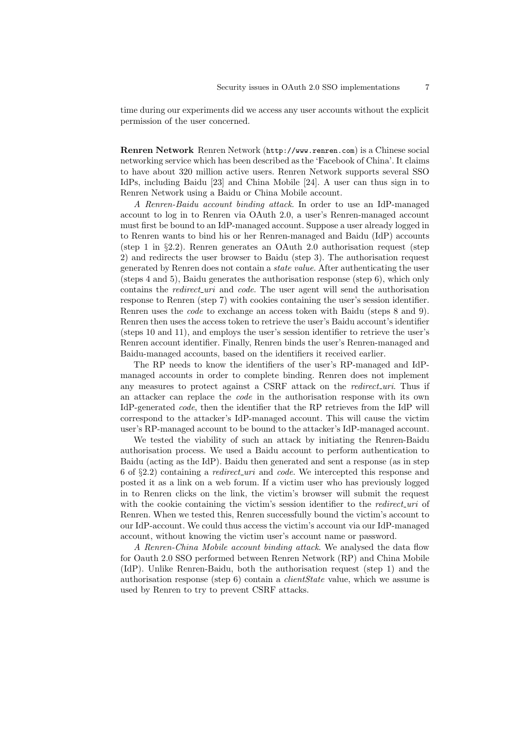time during our experiments did we access any user accounts without the explicit permission of the user concerned.

Renren Network Renren Network (http://www.renren.com) is a Chinese social networking service which has been described as the 'Facebook of China'. It claims to have about 320 million active users. Renren Network supports several SSO IdPs, including Baidu [23] and China Mobile [24]. A user can thus sign in to Renren Network using a Baidu or China Mobile account.

A Renren-Baidu account binding attack. In order to use an IdP-managed account to log in to Renren via OAuth 2.0, a user's Renren-managed account must first be bound to an IdP-managed account. Suppose a user already logged in to Renren wants to bind his or her Renren-managed and Baidu (IdP) accounts (step 1 in §2.2). Renren generates an OAuth 2.0 authorisation request (step 2) and redirects the user browser to Baidu (step 3). The authorisation request generated by Renren does not contain a state value. After authenticating the user (steps 4 and 5), Baidu generates the authorisation response (step 6), which only contains the *redirect-uri* and *code*. The user agent will send the authorisation response to Renren (step 7) with cookies containing the user's session identifier. Renren uses the code to exchange an access token with Baidu (steps 8 and 9). Renren then uses the access token to retrieve the user's Baidu account's identifier (steps 10 and 11), and employs the user's session identifier to retrieve the user's Renren account identifier. Finally, Renren binds the user's Renren-managed and Baidu-managed accounts, based on the identifiers it received earlier.

The RP needs to know the identifiers of the user's RP-managed and IdPmanaged accounts in order to complete binding. Renren does not implement any measures to protect against a CSRF attack on the *redirect\_uri*. Thus if an attacker can replace the code in the authorisation response with its own IdP-generated code, then the identifier that the RP retrieves from the IdP will correspond to the attacker's IdP-managed account. This will cause the victim user's RP-managed account to be bound to the attacker's IdP-managed account.

We tested the viability of such an attack by initiating the Renren-Baidu authorisation process. We used a Baidu account to perform authentication to Baidu (acting as the IdP). Baidu then generated and sent a response (as in step 6 of  $\S 2.2$ ) containing a *redirect\_uri* and *code*. We intercepted this response and posted it as a link on a web forum. If a victim user who has previously logged in to Renren clicks on the link, the victim's browser will submit the request with the cookie containing the victim's session identifier to the *redirect-uri* of Renren. When we tested this, Renren successfully bound the victim's account to our IdP-account. We could thus access the victim's account via our IdP-managed account, without knowing the victim user's account name or password.

A Renren-China Mobile account binding attack. We analysed the data flow for Oauth 2.0 SSO performed between Renren Network (RP) and China Mobile (IdP). Unlike Renren-Baidu, both the authorisation request (step 1) and the authorisation response (step 6) contain a clientState value, which we assume is used by Renren to try to prevent CSRF attacks.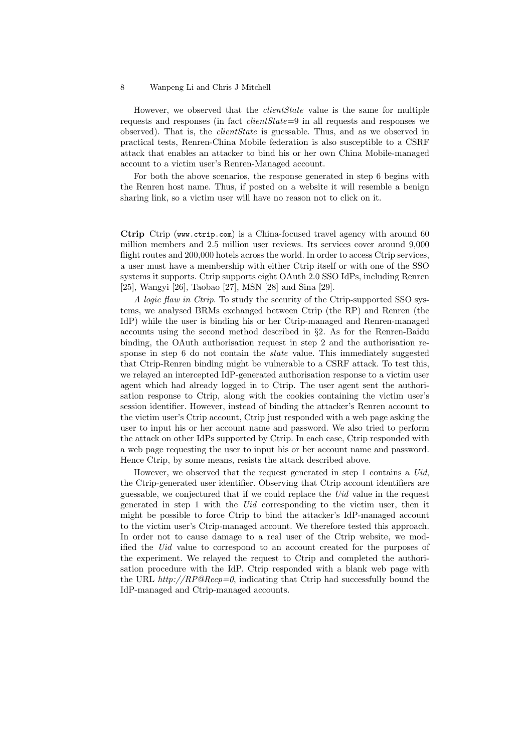However, we observed that the clientState value is the same for multiple requests and responses (in fact  $clientState=9$  in all requests and responses we observed). That is, the clientState is guessable. Thus, and as we observed in practical tests, Renren-China Mobile federation is also susceptible to a CSRF attack that enables an attacker to bind his or her own China Mobile-managed account to a victim user's Renren-Managed account.

For both the above scenarios, the response generated in step 6 begins with the Renren host name. Thus, if posted on a website it will resemble a benign sharing link, so a victim user will have no reason not to click on it.

Ctrip Ctrip (www.ctrip.com) is a China-focused travel agency with around 60 million members and 2.5 million user reviews. Its services cover around 9,000 flight routes and 200,000 hotels across the world. In order to access Ctrip services, a user must have a membership with either Ctrip itself or with one of the SSO systems it supports. Ctrip supports eight OAuth 2.0 SSO IdPs, including Renren [25], Wangyi [26], Taobao [27], MSN [28] and Sina [29].

A logic flaw in Ctrip. To study the security of the Ctrip-supported SSO systems, we analysed BRMs exchanged between Ctrip (the RP) and Renren (the IdP) while the user is binding his or her Ctrip-managed and Renren-managed accounts using the second method described in §2. As for the Renren-Baidu binding, the OAuth authorisation request in step 2 and the authorisation response in step 6 do not contain the *state* value. This immediately suggested that Ctrip-Renren binding might be vulnerable to a CSRF attack. To test this, we relayed an intercepted IdP-generated authorisation response to a victim user agent which had already logged in to Ctrip. The user agent sent the authorisation response to Ctrip, along with the cookies containing the victim user's session identifier. However, instead of binding the attacker's Renren account to the victim user's Ctrip account, Ctrip just responded with a web page asking the user to input his or her account name and password. We also tried to perform the attack on other IdPs supported by Ctrip. In each case, Ctrip responded with a web page requesting the user to input his or her account name and password. Hence Ctrip, by some means, resists the attack described above.

However, we observed that the request generated in step 1 contains a Uid, the Ctrip-generated user identifier. Observing that Ctrip account identifiers are guessable, we conjectured that if we could replace the Uid value in the request generated in step 1 with the Uid corresponding to the victim user, then it might be possible to force Ctrip to bind the attacker's IdP-managed account to the victim user's Ctrip-managed account. We therefore tested this approach. In order not to cause damage to a real user of the Ctrip website, we modified the Uid value to correspond to an account created for the purposes of the experiment. We relayed the request to Ctrip and completed the authorisation procedure with the IdP. Ctrip responded with a blank web page with the URL  $http://RP@Recp=0$ , indicating that Ctrip had successfully bound the IdP-managed and Ctrip-managed accounts.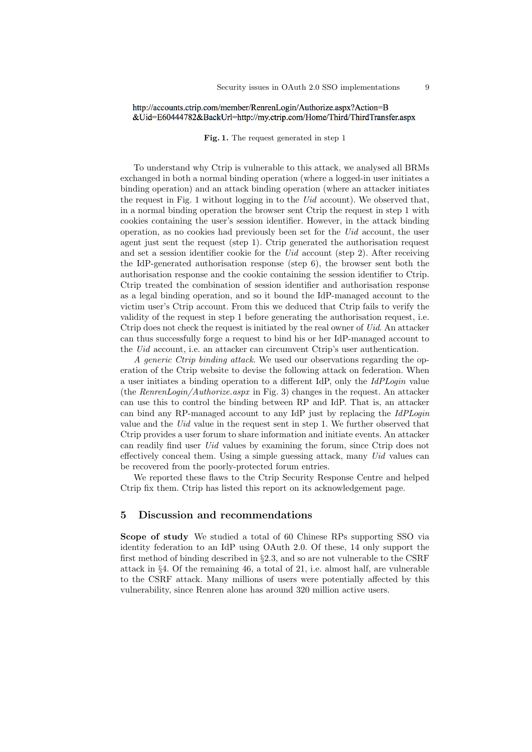### http://accounts.ctrip.com/member/RenrenLogin/Authorize.aspx?Action=B &Uid=E60444782&BackUrl=http://my.ctrip.com/Home/Third/ThirdTransfer.aspx

Fig. 1. The request generated in step 1

To understand why Ctrip is vulnerable to this attack, we analysed all BRMs exchanged in both a normal binding operation (where a logged-in user initiates a binding operation) and an attack binding operation (where an attacker initiates the request in Fig. 1 without logging in to the Uid account). We observed that, in a normal binding operation the browser sent Ctrip the request in step 1 with cookies containing the user's session identifier. However, in the attack binding operation, as no cookies had previously been set for the Uid account, the user agent just sent the request (step 1). Ctrip generated the authorisation request and set a session identifier cookie for the  $Uid$  account (step 2). After receiving the IdP-generated authorisation response (step 6), the browser sent both the authorisation response and the cookie containing the session identifier to Ctrip. Ctrip treated the combination of session identifier and authorisation response as a legal binding operation, and so it bound the IdP-managed account to the victim user's Ctrip account. From this we deduced that Ctrip fails to verify the validity of the request in step 1 before generating the authorisation request, i.e. Ctrip does not check the request is initiated by the real owner of *Uid*. An attacker can thus successfully forge a request to bind his or her IdP-managed account to the Uid account, i.e. an attacker can circumvent Ctrip's user authentication.

A generic Ctrip binding attack. We used our observations regarding the operation of the Ctrip website to devise the following attack on federation. When a user initiates a binding operation to a different IdP, only the IdPLogin value (the RenrenLogin/Authorize.aspx in Fig. 3) changes in the request. An attacker can use this to control the binding between RP and IdP. That is, an attacker can bind any RP-managed account to any IdP just by replacing the IdPLogin value and the Uid value in the request sent in step 1. We further observed that Ctrip provides a user forum to share information and initiate events. An attacker can readily find user Uid values by examining the forum, since Ctrip does not effectively conceal them. Using a simple guessing attack, many Uid values can be recovered from the poorly-protected forum entries.

We reported these flaws to the Ctrip Security Response Centre and helped Ctrip fix them. Ctrip has listed this report on its acknowledgement page.

### 5 Discussion and recommendations

Scope of study We studied a total of 60 Chinese RPs supporting SSO via identity federation to an IdP using OAuth 2.0. Of these, 14 only support the first method of binding described in §2.3, and so are not vulnerable to the CSRF attack in §4. Of the remaining 46, a total of 21, i.e. almost half, are vulnerable to the CSRF attack. Many millions of users were potentially affected by this vulnerability, since Renren alone has around 320 million active users.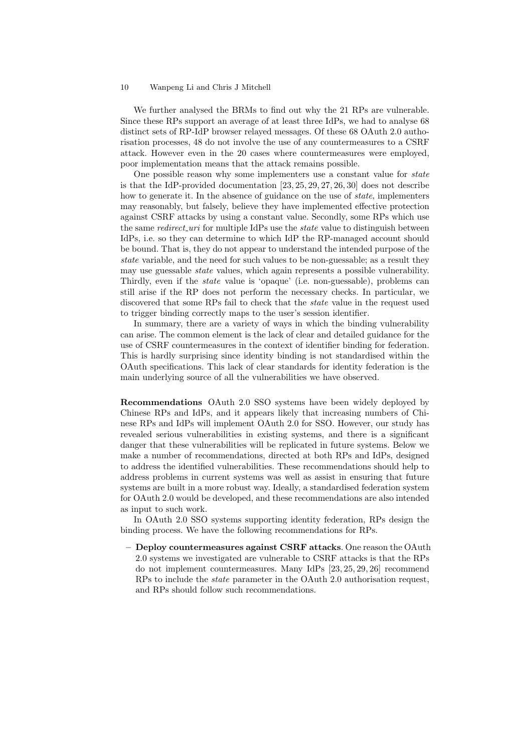We further analysed the BRMs to find out why the 21 RPs are vulnerable. Since these RPs support an average of at least three IdPs, we had to analyse 68 distinct sets of RP-IdP browser relayed messages. Of these 68 OAuth 2.0 authorisation processes, 48 do not involve the use of any countermeasures to a CSRF attack. However even in the 20 cases where countermeasures were employed, poor implementation means that the attack remains possible.

One possible reason why some implementers use a constant value for state is that the IdP-provided documentation [23, 25, 29, 27, 26, 30] does not describe how to generate it. In the absence of guidance on the use of *state*, implementers may reasonably, but falsely, believe they have implemented effective protection against CSRF attacks by using a constant value. Secondly, some RPs which use the same *redirect uri* for multiple IdPs use the *state* value to distinguish between IdPs, i.e. so they can determine to which IdP the RP-managed account should be bound. That is, they do not appear to understand the intended purpose of the state variable, and the need for such values to be non-guessable; as a result they may use guessable state values, which again represents a possible vulnerability. Thirdly, even if the state value is 'opaque' (i.e. non-guessable), problems can still arise if the RP does not perform the necessary checks. In particular, we discovered that some RPs fail to check that the state value in the request used to trigger binding correctly maps to the user's session identifier.

In summary, there are a variety of ways in which the binding vulnerability can arise. The common element is the lack of clear and detailed guidance for the use of CSRF countermeasures in the context of identifier binding for federation. This is hardly surprising since identity binding is not standardised within the OAuth specifications. This lack of clear standards for identity federation is the main underlying source of all the vulnerabilities we have observed.

Recommendations OAuth 2.0 SSO systems have been widely deployed by Chinese RPs and IdPs, and it appears likely that increasing numbers of Chinese RPs and IdPs will implement OAuth 2.0 for SSO. However, our study has revealed serious vulnerabilities in existing systems, and there is a significant danger that these vulnerabilities will be replicated in future systems. Below we make a number of recommendations, directed at both RPs and IdPs, designed to address the identified vulnerabilities. These recommendations should help to address problems in current systems was well as assist in ensuring that future systems are built in a more robust way. Ideally, a standardised federation system for OAuth 2.0 would be developed, and these recommendations are also intended as input to such work.

In OAuth 2.0 SSO systems supporting identity federation, RPs design the binding process. We have the following recommendations for RPs.

– Deploy countermeasures against CSRF attacks. One reason the OAuth 2.0 systems we investigated are vulnerable to CSRF attacks is that the RPs do not implement countermeasures. Many IdPs [23, 25, 29, 26] recommend RPs to include the state parameter in the OAuth 2.0 authorisation request, and RPs should follow such recommendations.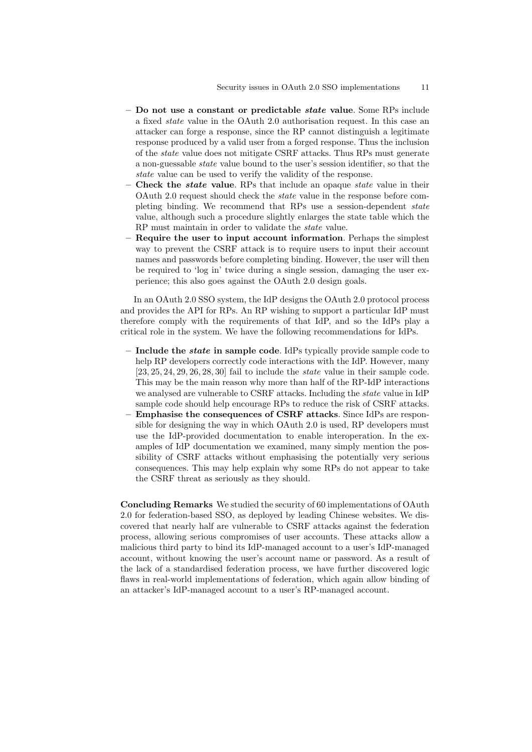- Do not use a constant or predictable *state* value. Some RPs include a fixed state value in the OAuth 2.0 authorisation request. In this case an attacker can forge a response, since the RP cannot distinguish a legitimate response produced by a valid user from a forged response. Thus the inclusion of the state value does not mitigate CSRF attacks. Thus RPs must generate a non-guessable state value bound to the user's session identifier, so that the state value can be used to verify the validity of the response.
- Check the *state* value. RPs that include an opaque *state* value in their OAuth 2.0 request should check the state value in the response before completing binding. We recommend that RPs use a session-dependent state value, although such a procedure slightly enlarges the state table which the RP must maintain in order to validate the state value.
- Require the user to input account information. Perhaps the simplest way to prevent the CSRF attack is to require users to input their account names and passwords before completing binding. However, the user will then be required to 'log in' twice during a single session, damaging the user experience; this also goes against the OAuth 2.0 design goals.

In an OAuth 2.0 SSO system, the IdP designs the OAuth 2.0 protocol process and provides the API for RPs. An RP wishing to support a particular IdP must therefore comply with the requirements of that IdP, and so the IdPs play a critical role in the system. We have the following recommendations for IdPs.

- Include the *state* in sample code. IdPs typically provide sample code to help RP developers correctly code interactions with the IdP. However, many [23, 25, 24, 29, 26, 28, 30] fail to include the state value in their sample code. This may be the main reason why more than half of the RP-IdP interactions we analysed are vulnerable to CSRF attacks. Including the state value in IdP sample code should help encourage RPs to reduce the risk of CSRF attacks.
- Emphasise the consequences of CSRF attacks. Since IdPs are responsible for designing the way in which OAuth 2.0 is used, RP developers must use the IdP-provided documentation to enable interoperation. In the examples of IdP documentation we examined, many simply mention the possibility of CSRF attacks without emphasising the potentially very serious consequences. This may help explain why some RPs do not appear to take the CSRF threat as seriously as they should.

Concluding Remarks We studied the security of 60 implementations of OAuth 2.0 for federation-based SSO, as deployed by leading Chinese websites. We discovered that nearly half are vulnerable to CSRF attacks against the federation process, allowing serious compromises of user accounts. These attacks allow a malicious third party to bind its IdP-managed account to a user's IdP-managed account, without knowing the user's account name or password. As a result of the lack of a standardised federation process, we have further discovered logic flaws in real-world implementations of federation, which again allow binding of an attacker's IdP-managed account to a user's RP-managed account.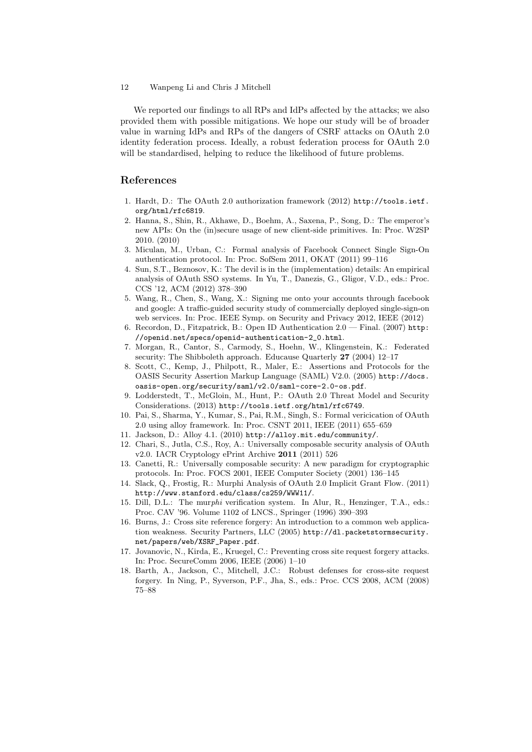We reported our findings to all RPs and IdPs affected by the attacks; we also provided them with possible mitigations. We hope our study will be of broader value in warning IdPs and RPs of the dangers of CSRF attacks on OAuth 2.0 identity federation process. Ideally, a robust federation process for OAuth 2.0 will be standardised, helping to reduce the likelihood of future problems.

## References

- 1. Hardt, D.: The OAuth 2.0 authorization framework (2012) http://tools.ietf. org/html/rfc6819.
- 2. Hanna, S., Shin, R., Akhawe, D., Boehm, A., Saxena, P., Song, D.: The emperor's new APIs: On the (in)secure usage of new client-side primitives. In: Proc. W2SP 2010. (2010)
- 3. Miculan, M., Urban, C.: Formal analysis of Facebook Connect Single Sign-On authentication protocol. In: Proc. SofSem 2011, OKAT (2011) 99–116
- 4. Sun, S.T., Beznosov, K.: The devil is in the (implementation) details: An empirical analysis of OAuth SSO systems. In Yu, T., Danezis, G., Gligor, V.D., eds.: Proc. CCS '12, ACM (2012) 378–390
- 5. Wang, R., Chen, S., Wang, X.: Signing me onto your accounts through facebook and google: A traffic-guided security study of commercially deployed single-sign-on web services. In: Proc. IEEE Symp. on Security and Privacy 2012, IEEE (2012)
- 6. Recordon, D., Fitzpatrick, B.: Open ID Authentication 2.0 Final. (2007) http: //openid.net/specs/openid-authentication-2\_0.html.
- 7. Morgan, R., Cantor, S., Carmody, S., Hoehn, W., Klingenstein, K.: Federated security: The Shibboleth approach. Educause Quarterly 27 (2004) 12–17
- 8. Scott, C., Kemp, J., Philpott, R., Maler, E.: Assertions and Protocols for the OASIS Security Assertion Markup Language (SAML) V2.0. (2005) http://docs. oasis-open.org/security/saml/v2.0/saml-core-2.0-os.pdf.
- 9. Lodderstedt, T., McGloin, M., Hunt, P.: OAuth 2.0 Threat Model and Security Considerations. (2013) http://tools.ietf.org/html/rfc6749.
- 10. Pai, S., Sharma, Y., Kumar, S., Pai, R.M., Singh, S.: Formal vericication of OAuth 2.0 using alloy framework. In: Proc. CSNT 2011, IEEE (2011) 655–659
- 11. Jackson, D.: Alloy 4.1. (2010) http://alloy.mit.edu/community/.
- 12. Chari, S., Jutla, C.S., Roy, A.: Universally composable security analysis of OAuth v2.0. IACR Cryptology ePrint Archive 2011 (2011) 526
- 13. Canetti, R.: Universally composable security: A new paradigm for cryptographic protocols. In: Proc. FOCS 2001, IEEE Computer Society (2001) 136–145
- 14. Slack, Q., Frostig, R.: Murphi Analysis of OAuth 2.0 Implicit Grant Flow. (2011) http://www.stanford.edu/class/cs259/WWW11/.
- 15. Dill, D.L.: The murphi verification system. In Alur, R., Henzinger, T.A., eds.: Proc. CAV '96. Volume 1102 of LNCS., Springer (1996) 390–393
- 16. Burns, J.: Cross site reference forgery: An introduction to a common web application weakness. Security Partners, LLC (2005) http://dl.packetstormsecurity. net/papers/web/XSRF\_Paper.pdf.
- 17. Jovanovic, N., Kirda, E., Kruegel, C.: Preventing cross site request forgery attacks. In: Proc. SecureComm 2006, IEEE (2006) 1–10
- 18. Barth, A., Jackson, C., Mitchell, J.C.: Robust defenses for cross-site request forgery. In Ning, P., Syverson, P.F., Jha, S., eds.: Proc. CCS 2008, ACM (2008) 75–88